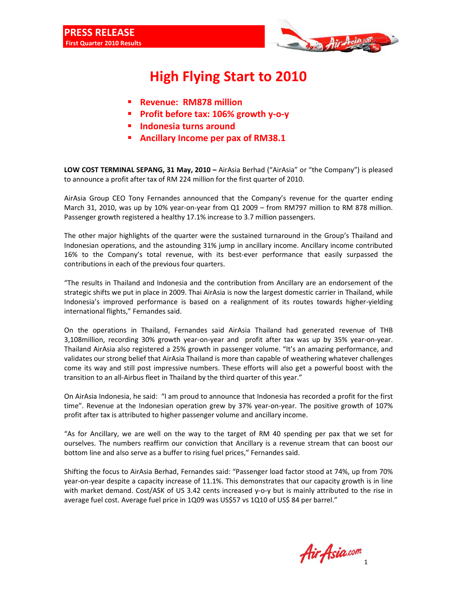

## **High Flying Start to 2010**

- **Revenue: RM878 million**
- **Profit before tax: 106% growth y-o-y**
- **Indonesia turns around**
- **Ancillary Income per pax of RM38.1**

**LOW COST TERMINAL SEPANG, 31 May, 2010 –** AirAsia Berhad ("AirAsia" or "the Company") is pleased to announce a profit after tax of RM 224 million for the first quarter of 2010.

AirAsia Group CEO Tony Fernandes announced that the Company's revenue for the quarter ending March 31, 2010, was up by 10% year-on-year from Q1 2009 – from RM797 million to RM 878 million. Passenger growth registered a healthy 17.1% increase to 3.7 million passengers.

The other major highlights of the quarter were the sustained turnaround in the Group's Thailand and Indonesian operations, and the astounding 31% jump in ancillary income. Ancillary income contributed 16% to the Company's total revenue, with its best-ever performance that easily surpassed the contributions in each of the previous four quarters.

"The results in Thailand and Indonesia and the contribution from Ancillary are an endorsement of the strategic shifts we put in place in 2009. Thai AirAsia is now the largest domestic carrier in Thailand, while Indonesia's improved performance is based on a realignment of its routes towards higher-yielding international flights," Fernandes said.

On the operations in Thailand, Fernandes said AirAsia Thailand had generated revenue of THB 3,108million, recording 30% growth year-on-year and profit after tax was up by 35% year-on-year. Thailand AirAsia also registered a 25% growth in passenger volume. "It's an amazing performance, and validates our strong belief that AirAsia Thailand is more than capable of weathering whatever challenges come its way and still post impressive numbers. These efforts will also get a powerful boost with the transition to an all-Airbus fleet in Thailand by the third quarter of this year."

On AirAsia Indonesia, he said: "I am proud to announce that Indonesia has recorded a profit for the first time". Revenue at the Indonesian operation grew by 37% year-on-year. The positive growth of 107% profit after tax is attributed to higher passenger volume and ancillary income.

"As for Ancillary, we are well on the way to the target of RM 40 spending per pax that we set for ourselves. The numbers reaffirm our conviction that Ancillary is a revenue stream that can boost our bottom line and also serve as a buffer to rising fuel prices," Fernandes said.

Shifting the focus to AirAsia Berhad, Fernandes said: "Passenger load factor stood at 74%, up from 70% year-on-year despite a capacity increase of 11.1%. This demonstrates that our capacity growth is in line with market demand. Cost/ASK of US 3.42 cents increased y-o-y but is mainly attributed to the rise in average fuel cost. Average fuel price in 1Q09 was US\$57 vs 1Q10 of US\$ 84 per barrel."

1